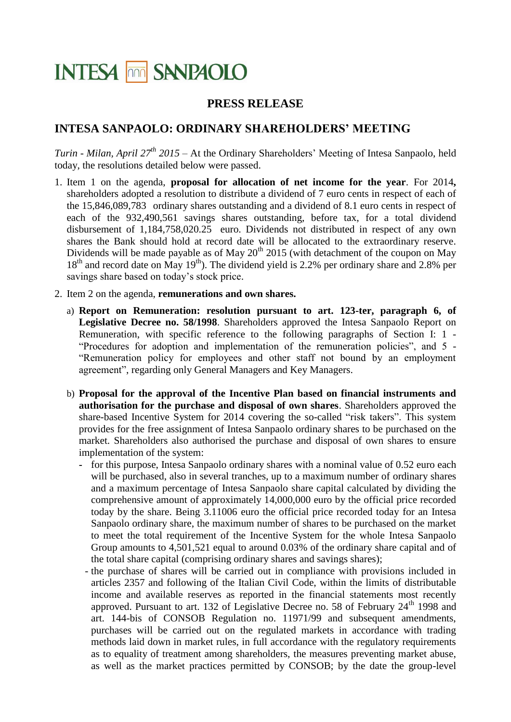## **INTESA MM SANPAOLO**

## **PRESS RELEASE**

## **INTESA SANPAOLO: ORDINARY SHAREHOLDERS' MEETING**

*Turin - Milan, April 27 th 2015* – At the Ordinary Shareholders' Meeting of Intesa Sanpaolo, held today, the resolutions detailed below were passed.

- 1. Item 1 on the agenda, **proposal for allocation of net income for the year**. For 2014**,**  shareholders adopted a resolution to distribute a dividend of 7 euro cents in respect of each of the 15,846,089,783 ordinary shares outstanding and a dividend of 8.1 euro cents in respect of each of the 932,490,561 savings shares outstanding, before tax, for a total dividend disbursement of 1,184,758,020.25 euro. Dividends not distributed in respect of any own shares the Bank should hold at record date will be allocated to the extraordinary reserve. Dividends will be made payable as of May  $20^{th}$  2015 (with detachment of the coupon on May  $18<sup>th</sup>$  and record date on May  $19<sup>th</sup>$ ). The dividend yield is 2.2% per ordinary share and 2.8% per savings share based on today's stock price.
- 2. Item 2 on the agenda, **remunerations and own shares.**
	- a) **Report on Remuneration: resolution pursuant to art. 123-ter, paragraph 6, of Legislative Decree no. 58/1998**. Shareholders approved the Intesa Sanpaolo Report on Remuneration, with specific reference to the following paragraphs of Section I: 1 - "Procedures for adoption and implementation of the remuneration policies", and 5 - "Remuneration policy for employees and other staff not bound by an employment agreement", regarding only General Managers and Key Managers.
	- b) **Proposal for the approval of the Incentive Plan based on financial instruments and authorisation for the purchase and disposal of own shares**. Shareholders approved the share-based Incentive System for 2014 covering the so-called "risk takers". This system provides for the free assignment of Intesa Sanpaolo ordinary shares to be purchased on the market. Shareholders also authorised the purchase and disposal of own shares to ensure implementation of the system:
		- **-** for this purpose, Intesa Sanpaolo ordinary shares with a nominal value of 0.52 euro each will be purchased, also in several tranches, up to a maximum number of ordinary shares and a maximum percentage of Intesa Sanpaolo share capital calculated by dividing the comprehensive amount of approximately 14,000,000 euro by the official price recorded today by the share. Being 3.11006 euro the official price recorded today for an Intesa Sanpaolo ordinary share, the maximum number of shares to be purchased on the market to meet the total requirement of the Incentive System for the whole Intesa Sanpaolo Group amounts to 4,501,521 equal to around 0.03% of the ordinary share capital and of the total share capital (comprising ordinary shares and savings shares);
		- the purchase of shares will be carried out in compliance with provisions included in articles 2357 and following of the Italian Civil Code, within the limits of distributable income and available reserves as reported in the financial statements most recently approved. Pursuant to art. 132 of Legislative Decree no. 58 of February 24<sup>th</sup> 1998 and art. 144-bis of CONSOB Regulation no. 11971/99 and subsequent amendments, purchases will be carried out on the regulated markets in accordance with trading methods laid down in market rules, in full accordance with the regulatory requirements as to equality of treatment among shareholders, the measures preventing market abuse, as well as the market practices permitted by CONSOB; by the date the group-level